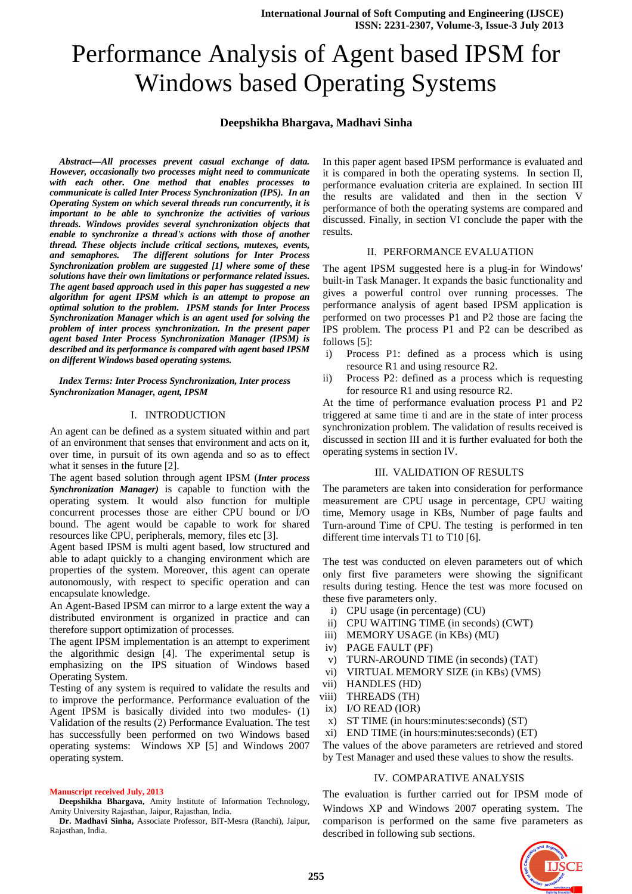# Performance Analysis of Agent based IPSM for Windows based Operating Systems

# **Deepshikha Bhargava, Madhavi Sinha**

*Abstract—All processes prevent casual exchange of data. However, occasionally two processes might need to communicate with each other. One method that enables processes to communicate is called Inter Process Synchronization (IPS). In an Operating System on which several threads run concurrently, it is important to be able to synchronize the activities of various threads. Windows provides several synchronization objects that enable to synchronize a thread's actions with those of another thread. These objects include critical sections, mutexes, events, and semaphores. The different solutions for Inter Process Synchronization problem are suggested [1] where some of these solutions have their own limitations or performance related issues. The agent based approach used in this paper has suggested a new algorithm for agent IPSM which is an attempt to propose an optimal solution to the problem. IPSM stands for Inter Process Synchronization Manager which is an agent used for solving the problem of inter process synchronization. In the present paper agent based Inter Process Synchronization Manager (IPSM) is described and its performance is compared with agent based IPSM on different Windows based operating systems.* 

*Index Terms: Inter Process Synchronization, Inter process Synchronization Manager, agent, IPSM* 

## I. INTRODUCTION

An agent can be defined as a system situated within and part of an environment that senses that environment and acts on it, over time, in pursuit of its own agenda and so as to effect what it senses in the future [2].

The agent based solution through agent IPSM (*Inter process Synchronization Manager)* is capable to function with the operating system. It would also function for multiple concurrent processes those are either CPU bound or I/O bound. The agent would be capable to work for shared resources like CPU, peripherals, memory, files etc [3].

Agent based IPSM is multi agent based, low structured and able to adapt quickly to a changing environment which are properties of the system. Moreover, this agent can operate autonomously, with respect to specific operation and can encapsulate knowledge.

An Agent-Based IPSM can mirror to a large extent the way a distributed environment is organized in practice and can therefore support optimization of processes.

The agent IPSM implementation is an attempt to experiment the algorithmic design [4]. The experimental setup is emphasizing on the IPS situation of Windows based Operating System.

Testing of any system is required to validate the results and to improve the performance. Performance evaluation of the Agent IPSM is basically divided into two modules- (1) Validation of the results (2) Performance Evaluation. The test has successfully been performed on two Windows based operating systems: Windows XP [5] and Windows 2007 operating system.

#### **Manuscript received July, 2013**

**Deepshikha Bhargava,** Amity Institute of Information Technology, Amity University Rajasthan, Jaipur, Rajasthan, India.

**Dr. Madhavi Sinha,** Associate Professor, BIT-Mesra (Ranchi), Jaipur, Rajasthan, India.

In this paper agent based IPSM performance is evaluated and it is compared in both the operating systems. In section II, performance evaluation criteria are explained. In section III the results are validated and then in the section V performance of both the operating systems are compared and discussed. Finally, in section VI conclude the paper with the results.

## II. PERFORMANCE EVALUATION

The agent IPSM suggested here is a plug-in for Windows' built-in Task Manager. It expands the basic functionality and gives a powerful control over running processes. The performance analysis of agent based IPSM application is performed on two processes P1 and P2 those are facing the IPS problem. The process P1 and P2 can be described as follows [5]:

- i) Process P1: defined as a process which is using resource R1 and using resource R2.
- ii) Process P2: defined as a process which is requesting for resource R1 and using resource R2.

At the time of performance evaluation process P1 and P2 triggered at same time ti and are in the state of inter process synchronization problem. The validation of results received is discussed in section III and it is further evaluated for both the operating systems in section IV.

## III. VALIDATION OF RESULTS

The parameters are taken into consideration for performance measurement are CPU usage in percentage, CPU waiting time, Memory usage in KBs, Number of page faults and Turn-around Time of CPU. The testing is performed in ten different time intervals T1 to T10 [6].

The test was conducted on eleven parameters out of which only first five parameters were showing the significant results during testing. Hence the test was more focused on these five parameters only.

- i) CPU usage (in percentage) (CU)
- ii) CPU WAITING TIME (in seconds) (CWT)
- iii) MEMORY USAGE (in KBs) (MU)
- iv) PAGE FAULT (PF)
- v) TURN-AROUND TIME (in seconds) (TAT)
- vi) VIRTUAL MEMORY SIZE (in KBs) (VMS)
- vii) HANDLES (HD)
- viii) THREADS (TH)
- ix) I/O READ (IOR)
- x) ST TIME (in hours:minutes:seconds) (ST)
- xi) END TIME (in hours:minutes:seconds) (ET)

The values of the above parameters are retrieved and stored by Test Manager and used these values to show the results.

#### IV. COMPARATIVE ANALYSIS

The evaluation is further carried out for IPSM mode of Windows XP and Windows 2007 operating system. The comparison is performed on the same five parameters as described in following sub sections.

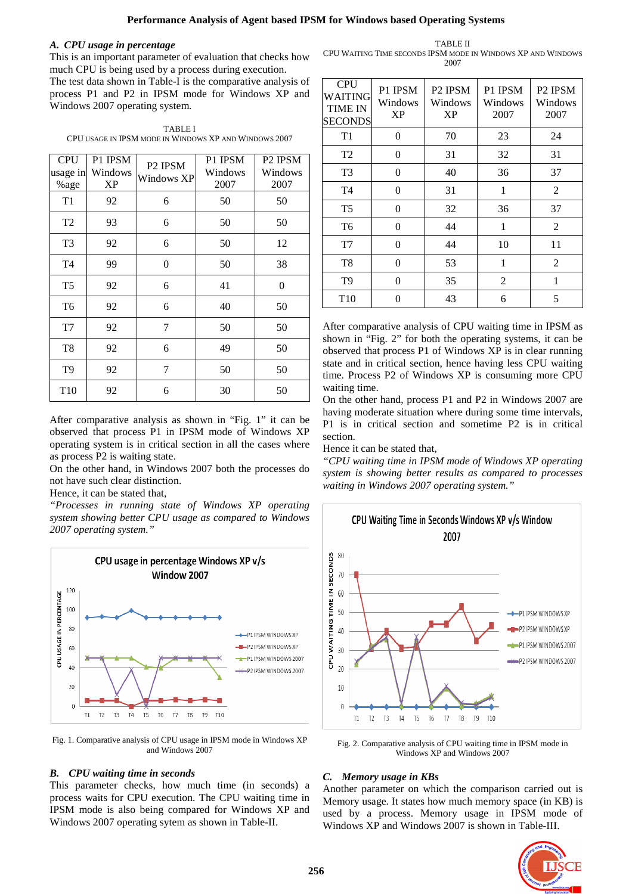**Performance Analysis of Agent based IPSM for Windows based Operating Systems** 

## *A. CPU usage in percentage*

This is an important parameter of evaluation that checks how much CPU is being used by a process during execution.

The test data shown in Table-I is the comparative analysis of process P1 and P2 in IPSM mode for Windows XP and Windows 2007 operating system.

TABLE I CPU USAGE IN IPSM MODE IN WINDOWS XP AND WINDOWS 2007

| <b>CPU</b><br>usage in<br>%age | P1 IPSM<br>Windows<br>XP | P <sub>2</sub> IPSM<br>Windows XP | P1 IPSM<br>Windows<br>2007 | P <sub>2</sub> IPSM<br>Windows<br>2007 |
|--------------------------------|--------------------------|-----------------------------------|----------------------------|----------------------------------------|
| T <sub>1</sub>                 | 92                       | 6                                 | 50                         | 50                                     |
| T <sub>2</sub>                 | 93                       | 6                                 | 50                         | 50                                     |
| T <sub>3</sub>                 | 92                       | 6                                 | 50                         | 12                                     |
| T <sub>4</sub>                 | 99                       | $\theta$                          | 50                         | 38                                     |
| T <sub>5</sub>                 | 92                       | 6                                 | 41                         | $\overline{0}$                         |
| T <sub>6</sub>                 | 92                       | 6                                 | 40                         | 50                                     |
| T7                             | 92                       | 7                                 | 50                         | 50                                     |
| T <sub>8</sub>                 | 92                       | 6                                 | 49                         | 50                                     |
| T <sub>9</sub>                 | 92                       | 7                                 | 50                         | 50                                     |
| T <sub>10</sub>                | 92                       | 6                                 | 30                         | 50                                     |

After comparative analysis as shown in "Fig. 1" it can be observed that process P1 in IPSM mode of Windows XP operating system is in critical section in all the cases where as process P2 is waiting state.

On the other hand, in Windows 2007 both the processes do not have such clear distinction.

Hence, it can be stated that,

*"Processes in running state of Windows XP operating system showing better CPU usage as compared to Windows 2007 operating system."* 



Fig. 1. Comparative analysis of CPU usage in IPSM mode in Windows XP and Windows 2007

## *B. CPU waiting time in seconds*

This parameter checks, how much time (in seconds) a process waits for CPU execution. The CPU waiting time in IPSM mode is also being compared for Windows XP and Windows 2007 operating sytem as shown in Table-II.

TABLE II CPU WAITING TIME SECONDS IPSM MODE IN WINDOWS XP AND WINDOWS 2007

| <b>CPU</b><br>WAITING<br><b>TIME IN</b><br><b>SECONDS</b> | P1 IPSM<br>Windows<br><b>XP</b> | P <sub>2</sub> IPSM<br>Windows<br><b>XP</b> | P1 IPSM<br>Windows<br>2007 | P <sub>2</sub> IPSM<br>Windows<br>2007 |
|-----------------------------------------------------------|---------------------------------|---------------------------------------------|----------------------------|----------------------------------------|
| T1                                                        | 0                               | 70                                          | 23                         | 24                                     |
| T <sub>2</sub>                                            | 0                               | 31                                          | 32                         | 31                                     |
| T <sub>3</sub>                                            | $\Omega$                        | 40                                          | 36                         | 37                                     |
| T <sub>4</sub>                                            | $\Omega$                        | 31                                          | 1                          | 2                                      |
| T <sub>5</sub>                                            | $\theta$                        | 32                                          | 36                         | 37                                     |
| T <sub>6</sub>                                            | $\theta$                        | 44                                          | 1                          | 2                                      |
| T7                                                        | $\theta$                        | 44                                          | 10                         | 11                                     |
| T <sub>8</sub>                                            | 0                               | 53                                          | 1                          | 2                                      |
| T <sub>9</sub>                                            | 0                               | 35                                          | 2                          | 1                                      |
| T <sub>10</sub>                                           | 0                               | 43                                          | 6                          | 5                                      |

After comparative analysis of CPU waiting time in IPSM as shown in "Fig. 2" for both the operating systems, it can be observed that process P1 of Windows XP is in clear running state and in critical section, hence having less CPU waiting time. Process P2 of Windows XP is consuming more CPU waiting time.

On the other hand, process P1 and P2 in Windows 2007 are having moderate situation where during some time intervals, P1 is in critical section and sometime P2 is in critical section.

Hence it can be stated that,

*"CPU waiting time in IPSM mode of Windows XP operating system is showing better results as compared to processes waiting in Windows 2007 operating system."* 

CPU Waiting Time in Seconds Windows XP v/s Window



Fig. 2. Comparative analysis of CPU waiting time in IPSM mode in Windows XP and Windows 2007

## *C. Memory usage in KBs*

Another parameter on which the comparison carried out is Memory usage. It states how much memory space (in KB) is used by a process. Memory usage in IPSM mode of Windows XP and Windows 2007 is shown in Table-III.

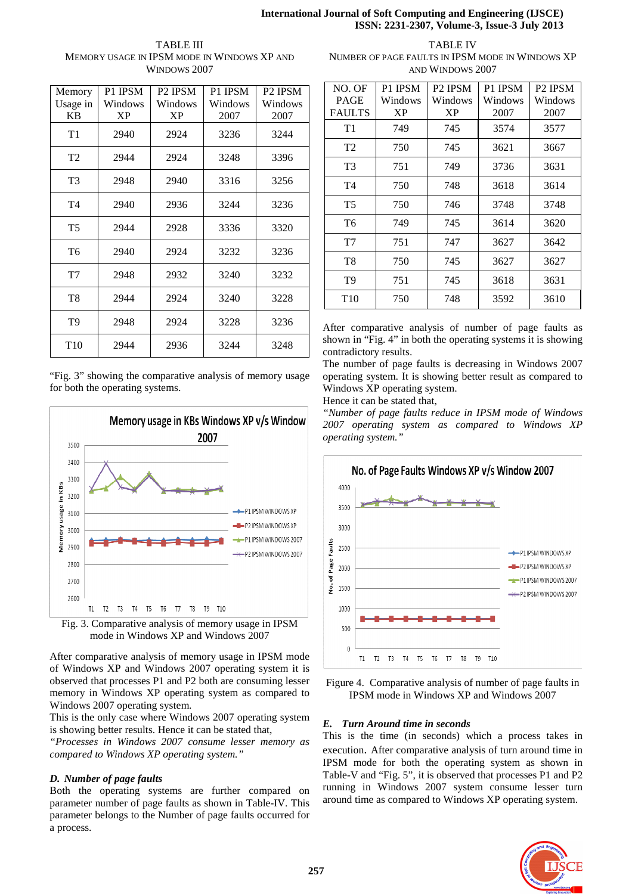# **International Journal of Soft Computing and Engineering (IJSCE) ISSN: 2231-2307, Volume-3, Issue-3 July 2013**

TABLE III MEMORY USAGE IN IPSM MODE IN WINDOWS XP AND WINDOWS 2007

| Memory          | P1 IPSM   | P <sub>2</sub> IPSM | P1 IPSM | P <sub>2</sub> IPSM |
|-----------------|-----------|---------------------|---------|---------------------|
| Usage in        | Windows   | Windows             | Windows | Windows             |
| KВ              | <b>XP</b> | <b>XP</b>           | 2007    | 2007                |
| T1              | 2940      | 2924                | 3236    | 3244                |
| T <sub>2</sub>  | 2944      | 2924                | 3248    | 3396                |
| T <sub>3</sub>  | 2948      | 2940                | 3316    | 3256                |
| T <sub>4</sub>  | 2940      | 2936                | 3244    | 3236                |
| T <sub>5</sub>  | 2944      | 2928                | 3336    | 3320                |
| T <sub>6</sub>  | 2940      | 2924                | 3232    | 3236                |
| T7              | 2948      | 2932                | 3240    | 3232                |
| T <sub>8</sub>  | 2944      | 2924                | 3240    | 3228                |
| T <sub>9</sub>  | 2948      | 2924                | 3228    | 3236                |
| T <sub>10</sub> | 2944      | 2936                | 3244    | 3248                |

"Fig. 3" showing the comparative analysis of memory usage for both the operating systems.



mode in Windows XP and Windows 2007

After comparative analysis of memory usage in IPSM mode of Windows XP and Windows 2007 operating system it is observed that processes P1 and P2 both are consuming lesser memory in Windows XP operating system as compared to Windows 2007 operating system.

This is the only case where Windows 2007 operating system is showing better results. Hence it can be stated that,

*"Processes in Windows 2007 consume lesser memory as compared to Windows XP operating system."* 

# *D. Number of page faults*

Both the operating systems are further compared on parameter number of page faults as shown in Table-IV. This parameter belongs to the Number of page faults occurred for a process.

TABLE IV NUMBER OF PAGE FAULTS IN IPSM MODE IN WINDOWS XP AND WINDOWS 2007

| NO. OF          | P1 IPSM   | P <sub>2</sub> IPSM | P1 IPSM | P <sub>2</sub> IPSM |
|-----------------|-----------|---------------------|---------|---------------------|
| <b>PAGE</b>     | Windows   | Windows             | Windows | Windows             |
| <b>FAULTS</b>   | <b>XP</b> | <b>XP</b>           | 2007    | 2007                |
| T1              | 749       | 745                 | 3574    | 3577                |
| T <sub>2</sub>  | 750       | 745                 | 3621    | 3667                |
| T <sub>3</sub>  | 751       | 749                 | 3736    | 3631                |
| T <sub>4</sub>  | 750       | 748                 | 3618    | 3614                |
| T <sub>5</sub>  | 750       | 746                 | 3748    | 3748                |
| T6              | 749       | 745                 | 3614    | 3620                |
| T7              | 751       | 747                 | 3627    | 3642                |
| T8              | 750       | 745                 | 3627    | 3627                |
| T <sub>9</sub>  | 751       | 745                 | 3618    | 3631                |
| T <sub>10</sub> | 750       | 748                 | 3592    | 3610                |

After comparative analysis of number of page faults as shown in "Fig. 4" in both the operating systems it is showing contradictory results.

The number of page faults is decreasing in Windows 2007 operating system. It is showing better result as compared to Windows XP operating system.

Hence it can be stated that,

*"Number of page faults reduce in IPSM mode of Windows 2007 operating system as compared to Windows XP operating system."* 



Figure 4. Comparative analysis of number of page faults in IPSM mode in Windows XP and Windows 2007

# *E. Turn Around time in seconds*

This is the time (in seconds) which a process takes in execution. After comparative analysis of turn around time in IPSM mode for both the operating system as shown in Table-V and "Fig. 5", it is observed that processes P1 and P2 running in Windows 2007 system consume lesser turn around time as compared to Windows XP operating system.

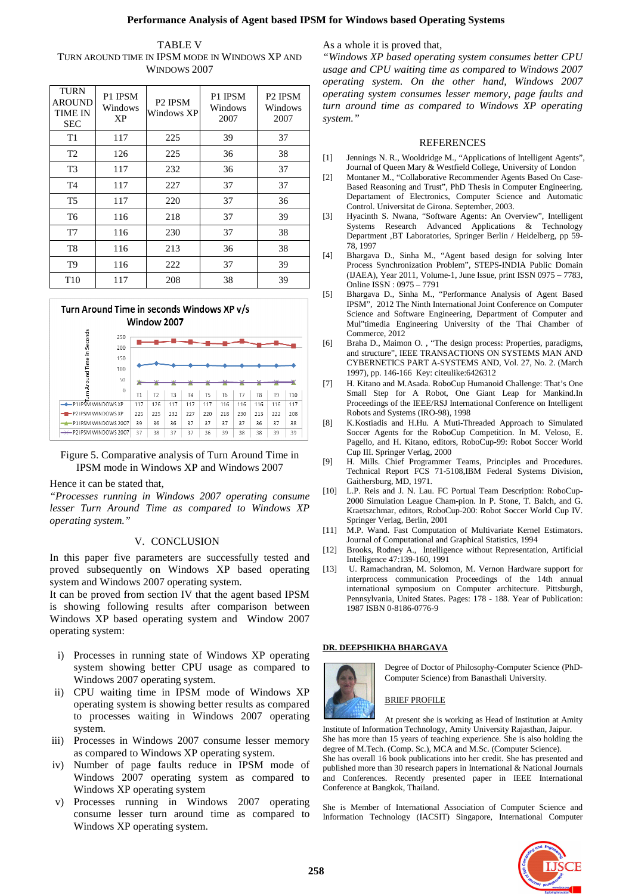# **Performance Analysis of Agent based IPSM for Windows based Operating Systems**

| <b>TABLE V</b>                                  |
|-------------------------------------------------|
| TURN AROUND TIME IN IPSM MODE IN WINDOWS XP AND |
| WINDOWS 2007                                    |

| <b>TURN</b><br><b>AROUND</b><br>TIME IN<br><b>SEC</b> | P1 IPSM<br>Windows<br>XP | P <sub>2</sub> IPSM<br>Windows XP | P1 IPSM<br>Windows<br>2007 | P <sub>2</sub> IPSM<br>Windows<br>2007 |
|-------------------------------------------------------|--------------------------|-----------------------------------|----------------------------|----------------------------------------|
| T <sub>1</sub>                                        | 117                      | 225                               | 39                         | 37                                     |
| T <sub>2</sub>                                        | 126                      | 225                               | 36                         | 38                                     |
| T <sub>3</sub>                                        | 117                      | 232                               | 36                         | 37                                     |
| T <sub>4</sub>                                        | 117                      | 227                               | 37                         | 37                                     |
| T <sub>5</sub>                                        | 117                      | 220                               | 37                         | 36                                     |
| T <sub>6</sub>                                        | 116                      | 218                               | 37                         | 39                                     |
| T7                                                    | 116                      | 230                               | 37                         | 38                                     |
| T8                                                    | 116                      | 213                               | 36                         | 38                                     |
| T <sub>9</sub>                                        | 116                      | 222                               | 37                         | 39                                     |
| T <sub>10</sub>                                       | 117                      | 208                               | 38                         | 39                                     |



Figure 5. Comparative analysis of Turn Around Time in IPSM mode in Windows XP and Windows 2007

## Hence it can be stated that,

*"Processes running in Windows 2007 operating consume lesser Turn Around Time as compared to Windows XP operating system."*

## V. CONCLUSION

In this paper five parameters are successfully tested and proved subsequently on Windows XP based operating system and Windows 2007 operating system.

It can be proved from section IV that the agent based IPSM is showing following results after comparison between Windows XP based operating system and Window 2007 operating system:

- i) Processes in running state of Windows XP operating system showing better CPU usage as compared to Windows 2007 operating system.
- ii) CPU waiting time in IPSM mode of Windows XP operating system is showing better results as compared to processes waiting in Windows 2007 operating system.
- iii) Processes in Windows 2007 consume lesser memory as compared to Windows XP operating system.
- iv) Number of page faults reduce in IPSM mode of Windows 2007 operating system as compared to Windows XP operating system
- v) Processes running in Windows 2007 operating consume lesser turn around time as compared to Windows XP operating system.

As a whole it is proved that,

*"Windows XP based operating system consumes better CPU usage and CPU waiting time as compared to Windows 2007 operating system. On the other hand, Windows 2007 operating system consumes lesser memory, page faults and turn around time as compared to Windows XP operating system."* 

#### REFERENCES

- [1] Jennings N. R., Wooldridge M., "Applications of Intelligent Agents", Journal of Queen Mary & Westfield College, University of London
- [2] Montaner M., "Collaborative Recommender Agents Based On Case-Based Reasoning and Trust", PhD Thesis in Computer Engineering. Departament of Electronics, Computer Science and Automatic Control. Universitat de Girona. September, 2003.
- [3] Hyacinth S. Nwana, "Software Agents: An Overview", Intelligent Systems Research Advanced Applications & Technology Department ,BT Laboratories, Springer Berlin / Heidelberg, pp 59- 78, 1997
- [4] Bhargava D., Sinha M., "Agent based design for solving Inter Process Synchronization Problem", STEPS-INDIA Public Domain (IJAEA), Year 2011, Volume-1, June Issue, print ISSN 0975 – 7783, Online ISSN : 0975 – 7791
- [5] Bhargava D., Sinha M., "Performance Analysis of Agent Based IPSM", 2012 The Ninth International Joint Conference on Computer Science and Software Engineering, Department of Computer and Mul"timedia Engineering University of the Thai Chamber of Commerce, 2012
- [6] Braha D., Maimon O. , "The design process: Properties, paradigms, and structure", IEEE TRANSACTIONS ON SYSTEMS MAN AND CYBERNETICS PART A-SYSTEMS AND, Vol. 27, No. 2. (March 1997), pp. 146-166 Key: citeulike:6426312
- [7] H. Kitano and M.Asada. RoboCup Humanoid Challenge: That's One Small Step for A Robot, One Giant Leap for Mankind.In Proceedings of the IEEE/RSJ International Conference on Intelligent Robots and Systems (IRO-98), 1998
- [8] K.Kostiadis and H.Hu. A Muti-Threaded Approach to Simulated Soccer Agents for the RoboCup Competition. In M. Veloso, E. Pagello, and H. Kitano, editors, RoboCup-99: Robot Soccer World Cup III. Springer Verlag, 2000
- [9] H. Mills. Chief Programmer Teams, Principles and Procedures. Technical Report FCS 71-5108,IBM Federal Systems Division, Gaithersburg, MD, 1971.
- [10] L.P. Reis and J. N. Lau. FC Portual Team Description: RoboCup-2000 Simulation League Cham-pion. In P. Stone, T. Balch, and G. Kraetszchmar, editors, RoboCup-200: Robot Soccer World Cup IV. Springer Verlag, Berlin, 2001
- [11] M.P. Wand. Fast Computation of Multivariate Kernel Estimators. Journal of Computational and Graphical Statistics, 1994
- [12] Brooks, Rodney A., Intelligence without Representation, Artificial Intelligence 47:139-160, 1991
- [13] U. Ramachandran, M. Solomon, M. Vernon Hardware support for interprocess communication Proceedings of the 14th annual international symposium on Computer architecture. Pittsburgh, Pennsylvania, United States. Pages: 178 - 188. Year of Publication: 1987 ISBN 0-8186-0776-9

## **DR. DEEPSHIKHA BHARGAVA**



Degree of Doctor of Philosophy-Computer Science (PhD-Computer Science) from Banasthali University.

## BRIEF PROFILE

At present she is working as Head of Institution at Amity Institute of Information Technology, Amity University Rajasthan, Jaipur. She has more than 15 years of teaching experience. She is also holding the

degree of M.Tech. (Comp. Sc.), MCA and M.Sc. (Computer Science). She has overall 16 book publications into her credit. She has presented and published more than 30 research papers in International & National Journals and Conferences. Recently presented paper in IEEE International Conference at Bangkok, Thailand.

She is Member of International Association of Computer Science and Information Technology (IACSIT) Singapore, International Computer